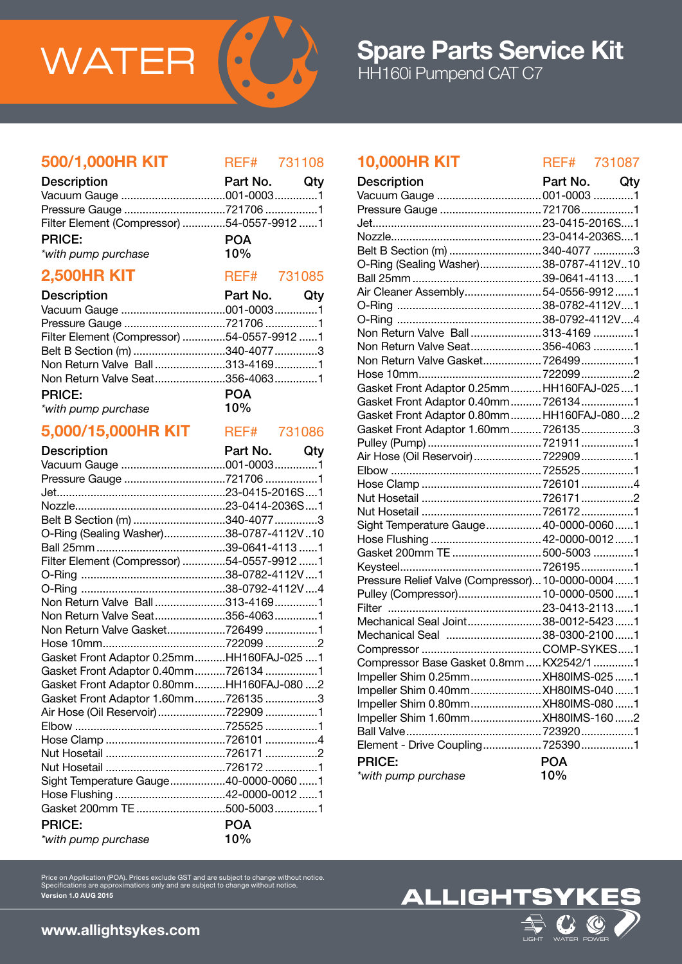

## 500/1,000HR KIT REF# 731108

| <b>Description</b>                         | Part No. Qty |  |
|--------------------------------------------|--------------|--|
|                                            |              |  |
|                                            |              |  |
| Filter Element (Compressor) 54-0557-9912 1 |              |  |
| <b>PRICE:</b>                              | <b>POA</b>   |  |
| *with pump purchase                        | 10%          |  |

# **2,500HR KIT** REF# 731085

| <b>Description</b>                         | Part No. Qty |  |
|--------------------------------------------|--------------|--|
|                                            |              |  |
|                                            |              |  |
| Filter Element (Compressor) 54-0557-9912 1 |              |  |
| Belt B Section (m) 340-4077 3              |              |  |
| Non Return Valve Ball313-41691             |              |  |
| Non Return Valve Seat356-40631             |              |  |
| <b>PRICE:</b>                              | <b>POA</b>   |  |
| *with pump purchase                        | $10\%$       |  |

### 5,000/15,000HR KIT REF# 731086

| <b>Description</b>                         | Part No. Qty |  |
|--------------------------------------------|--------------|--|
|                                            |              |  |
| Pressure Gauge 721706 1                    |              |  |
|                                            |              |  |
|                                            |              |  |
| Belt B Section (m) 340-4077 3              |              |  |
| O-Ring (Sealing Washer)38-0787-4112V10     |              |  |
|                                            |              |  |
| Filter Element (Compressor) 54-0557-9912 1 |              |  |
|                                            |              |  |
|                                            |              |  |
| Non Return Valve Ball313-41691             |              |  |
| Non Return Valve Seat356-40631             |              |  |
| Non Return Valve Gasket7264991             |              |  |
|                                            |              |  |
| Gasket Front Adaptor 0.25mmHH160FAJ-0251   |              |  |
| Gasket Front Adaptor 0.40mm7261341         |              |  |
| Gasket Front Adaptor 0.80mmHH160FAJ-080 2  |              |  |
| Gasket Front Adaptor 1.60mm7261353         |              |  |
| Air Hose (Oil Reservoir) 722909 1          |              |  |
|                                            |              |  |
|                                            |              |  |
|                                            |              |  |
|                                            |              |  |
| Sight Temperature Gauge40-0000-0060 1      |              |  |
|                                            |              |  |
|                                            |              |  |
| <b>PRICE:</b>                              | <b>POA</b>   |  |
| *with pump purchase                        | 10%          |  |

### 10,000HR KIT REF# 731087

| <b>Description</b>                               | Part No.   | Qty |
|--------------------------------------------------|------------|-----|
|                                                  |            |     |
| Pressure Gauge 721706 1                          |            |     |
|                                                  |            |     |
|                                                  |            |     |
| Belt B Section (m) 340-4077 3                    |            |     |
| O-Ring (Sealing Washer)38-0787-4112V10           |            |     |
|                                                  |            |     |
| Air Cleaner Assembly54-0556-99121                |            |     |
|                                                  |            |     |
|                                                  |            |     |
| Non Return Valve Ball313-41691                   |            |     |
| Non Return Valve Seat356-4063 1                  |            |     |
| Non Return Valve Gasket 7264991                  |            |     |
|                                                  |            |     |
| Gasket Front Adaptor 0.25mm HH160FAJ-0251        |            |     |
| Gasket Front Adaptor 0.40mm7261341               |            |     |
| Gasket Front Adaptor 0.80mm HH160FAJ-0802        |            |     |
| Gasket Front Adaptor 1.60mm 7261353              |            |     |
|                                                  |            |     |
| Air Hose (Oil Reservoir)  722909 1               |            |     |
|                                                  |            |     |
|                                                  |            |     |
|                                                  |            |     |
|                                                  |            |     |
| Sight Temperature Gauge 40-0000-00601            |            |     |
|                                                  |            |     |
| Gasket 200mm TE 500-5003 1                       |            |     |
|                                                  |            |     |
| Pressure Relief Valve (Compressor) 10-0000-00041 |            |     |
| Pulley (Compressor) 10-0000-05001                |            |     |
|                                                  |            |     |
| Mechanical Seal Joint38-0012-54231               |            |     |
| Mechanical Seal 38-0300-21001                    |            |     |
|                                                  |            |     |
| Compressor Base Gasket 0.8mm  KX2542/1 1         |            |     |
| Impeller Shim 0.25mm XH80IMS-0251                |            |     |
| Impeller Shim 0.40mm XH80IMS-0401                |            |     |
|                                                  |            |     |
| Impeller Shim 1.60mm XH80IMS-1602                |            |     |
|                                                  |            |     |
| Element - Drive Coupling 7253901                 |            |     |
| <b>PRICE:</b>                                    | <b>POA</b> |     |
|                                                  | 10%        |     |
| *with pump purchase                              |            |     |

Price on Application (POA). Prices exclude GST and are subject to change without notice. Specifications are approximations only and are subject to change without notice. Version 1.0 AUG 2015